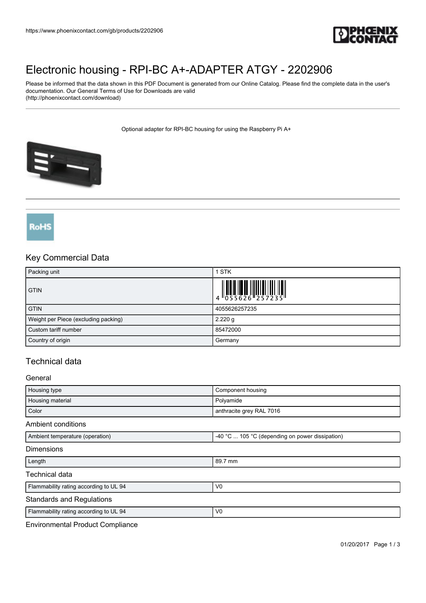

# [Electronic housing - RPI-BC A+-ADAPTER ATGY - 2202906](https://www.phoenixcontact.com/gb/products/2202906)

Please be informed that the data shown in this PDF Document is generated from our Online Catalog. Please find the complete data in the user's documentation. Our General Terms of Use for Downloads are valid (http://phoenixcontact.com/download)

Optional adapter for RPI-BC housing for using the Raspberry Pi A+



# RoHS

## Key Commercial Data

| Packing unit                         | 1 STK         |
|--------------------------------------|---------------|
| <b>GTIN</b>                          |               |
| <b>GTIN</b>                          | 4055626257235 |
| Weight per Piece (excluding packing) | 2.220 g       |
| Custom tariff number                 | 85472000      |
| Country of origin                    | Germany       |

# Technical data

### General

| Housing type                           | Component housing                               |
|----------------------------------------|-------------------------------------------------|
| Housing material                       | Polyamide                                       |
| Color                                  | anthracite grey RAL 7016                        |
| Ambient conditions                     |                                                 |
| Ambient temperature (operation)        | -40 °C  105 °C (depending on power dissipation) |
| <b>Dimensions</b>                      |                                                 |
| Length                                 | 89.7 mm                                         |
| Technical data                         |                                                 |
| Flammability rating according to UL 94 | V <sub>0</sub>                                  |
| <b>Standards and Regulations</b>       |                                                 |
| Flammability rating according to UL 94 | V <sub>0</sub>                                  |
|                                        |                                                 |

Environmental Product Compliance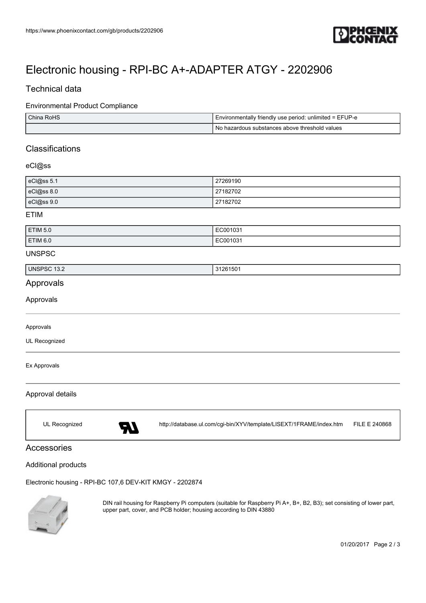

# [Electronic housing - RPI-BC A+-ADAPTER ATGY - 2202906](https://www.phoenixcontact.com/gb/products/2202906)

## Technical data

### Environmental Product Compliance

| China RoHS | I Environmentally friendly use period: unlimited = EFUP-e |
|------------|-----------------------------------------------------------|
|            | No hazardous substances above threshold values '          |

# **Classifications**

## eCl@ss

| eCl@ss 5.1 | 27269190 |
|------------|----------|
| eCl@ss 8.0 | 27182702 |
| eCl@ss 9.0 | 27182702 |

#### ETIM

| <b>ETIM 5.0</b> | EC001031 |
|-----------------|----------|
| ETIM 6.0        | EC001031 |

#### UNSPSC

| <b>UNSPS</b><br>טכ׳<br>13.Z | ٬۸۵۰<br>$\sim$<br>,,,<br>$\sim$ |
|-----------------------------|---------------------------------|

## Approvals

Approvals

#### Approvals

UL Recognized

#### Ex Approvals

### Approval details

UL Recognized <http://database.ul.com/cgi-bin/XYV/template/LISEXT/1FRAME/index.htm> FILE E 240868

## Accessories

### Additional products

[Electronic housing - RPI-BC 107,6 DEV-KIT KMGY - 2202874](https://www.phoenixcontact.com/gb/products/2202874)



DIN rail housing for Raspberry Pi computers (suitable for Raspberry Pi A+, B+, B2, B3); set consisting of lower part, upper part, cover, and PCB holder; housing according to DIN 43880